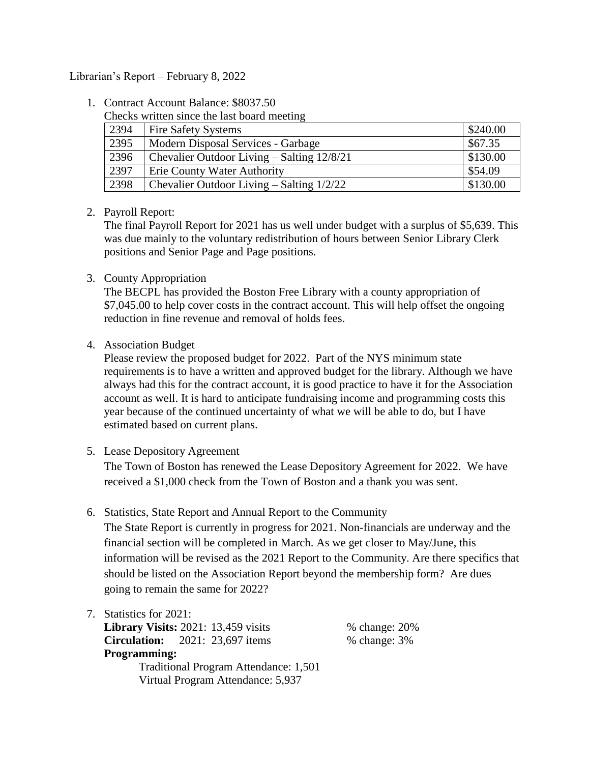## Librarian's Report – February 8, 2022

1. Contract Account Balance: \$8037.50

Checks written since the last board meeting

| 2394 | <b>Fire Safety Systems</b>                       | \$240.00 |
|------|--------------------------------------------------|----------|
| 2395 | Modern Disposal Services - Garbage               | \$67.35  |
| 2396 | Chevalier Outdoor Living – Salting 12/8/21       | \$130.00 |
| 2397 | <b>Erie County Water Authority</b>               | \$54.09  |
| 2398 | <b>Chevalier Outdoor Living – Salting 1/2/22</b> | \$130.00 |

## 2. Payroll Report:

The final Payroll Report for 2021 has us well under budget with a surplus of \$5,639. This was due mainly to the voluntary redistribution of hours between Senior Library Clerk positions and Senior Page and Page positions.

3. County Appropriation

The BECPL has provided the Boston Free Library with a county appropriation of \$7,045.00 to help cover costs in the contract account. This will help offset the ongoing reduction in fine revenue and removal of holds fees.

4. Association Budget

Please review the proposed budget for 2022. Part of the NYS minimum state requirements is to have a written and approved budget for the library. Although we have always had this for the contract account, it is good practice to have it for the Association account as well. It is hard to anticipate fundraising income and programming costs this year because of the continued uncertainty of what we will be able to do, but I have estimated based on current plans.

5. Lease Depository Agreement

The Town of Boston has renewed the Lease Depository Agreement for 2022. We have received a \$1,000 check from the Town of Boston and a thank you was sent.

6. Statistics, State Report and Annual Report to the Community

The State Report is currently in progress for 2021. Non-financials are underway and the financial section will be completed in March. As we get closer to May/June, this information will be revised as the 2021 Report to the Community. Are there specifics that should be listed on the Association Report beyond the membership form? Are dues going to remain the same for 2022?

7. Statistics for 2021:

**Library Visits:** 2021: 13,459 visits % change: 20% **Circulation:** 2021: 23,697 items % change: 3% **Programming:** Traditional Program Attendance: 1,501 Virtual Program Attendance: 5,937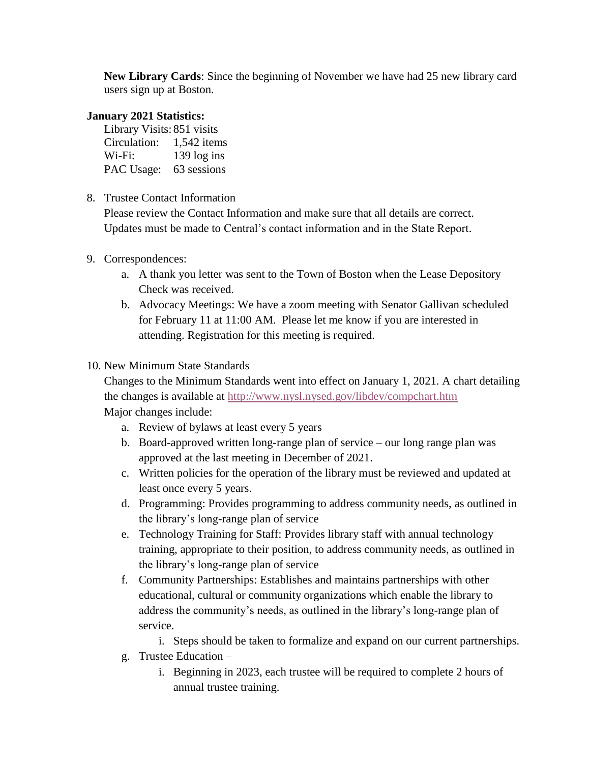**New Library Cards**: Since the beginning of November we have had 25 new library card users sign up at Boston.

## **January 2021 Statistics:**

| Library Visits: 851 visits |               |  |  |
|----------------------------|---------------|--|--|
| Circulation:               | $1,542$ items |  |  |
| $Wi-Fi:$                   | 139 log ins   |  |  |
| PAC Usage:                 | 63 sessions   |  |  |

8. Trustee Contact Information

Please review the Contact Information and make sure that all details are correct. Updates must be made to Central's contact information and in the State Report.

- 9. Correspondences:
	- a. A thank you letter was sent to the Town of Boston when the Lease Depository Check was received.
	- b. Advocacy Meetings: We have a zoom meeting with Senator Gallivan scheduled for February 11 at 11:00 AM. Please let me know if you are interested in attending. Registration for this meeting is required.
- 10. New Minimum State Standards

Changes to the Minimum Standards went into effect on January 1, 2021. A chart detailing the changes is available at<http://www.nysl.nysed.gov/libdev/compchart.htm> Major changes include:

- a. Review of bylaws at least every 5 years
- b. Board-approved written long-range plan of service our long range plan was approved at the last meeting in December of 2021.
- c. Written policies for the operation of the library must be reviewed and updated at least once every 5 years.
- d. Programming: Provides programming to address community needs, as outlined in the library's long-range plan of service
- e. Technology Training for Staff: Provides library staff with annual technology training, appropriate to their position, to address community needs, as outlined in the library's long-range plan of service
- f. Community Partnerships: Establishes and maintains partnerships with other educational, cultural or community organizations which enable the library to address the community's needs, as outlined in the library's long-range plan of service.
	- i. Steps should be taken to formalize and expand on our current partnerships.
- g. Trustee Education
	- i. Beginning in 2023, each trustee will be required to complete 2 hours of annual trustee training.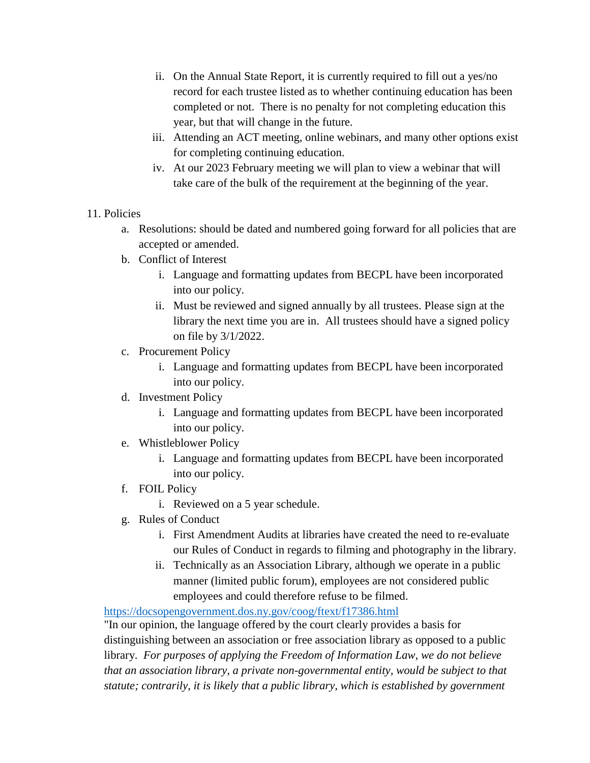- ii. On the Annual State Report, it is currently required to fill out a yes/no record for each trustee listed as to whether continuing education has been completed or not. There is no penalty for not completing education this year, but that will change in the future.
- iii. Attending an ACT meeting, online webinars, and many other options exist for completing continuing education.
- iv. At our 2023 February meeting we will plan to view a webinar that will take care of the bulk of the requirement at the beginning of the year.

## 11. Policies

- a. Resolutions: should be dated and numbered going forward for all policies that are accepted or amended.
- b. Conflict of Interest
	- i. Language and formatting updates from BECPL have been incorporated into our policy.
	- ii. Must be reviewed and signed annually by all trustees. Please sign at the library the next time you are in. All trustees should have a signed policy on file by 3/1/2022.
- c. Procurement Policy
	- i. Language and formatting updates from BECPL have been incorporated into our policy.
- d. Investment Policy
	- i. Language and formatting updates from BECPL have been incorporated into our policy.
- e. Whistleblower Policy
	- i. Language and formatting updates from BECPL have been incorporated into our policy.
- f. FOIL Policy
	- i. Reviewed on a 5 year schedule.
- g. Rules of Conduct
	- i. First Amendment Audits at libraries have created the need to re-evaluate our Rules of Conduct in regards to filming and photography in the library.
	- ii. Technically as an Association Library, although we operate in a public manner (limited public forum), employees are not considered public employees and could therefore refuse to be filmed.

<https://docsopengovernment.dos.ny.gov/coog/ftext/f17386.html>

"In our opinion, the language offered by the court clearly provides a basis for distinguishing between an association or free association library as opposed to a public library. *For purposes of applying the Freedom of Information Law, we do not believe that an association library, a private non-governmental entity, would be subject to that statute; contrarily, it is likely that a public library, which is established by government*